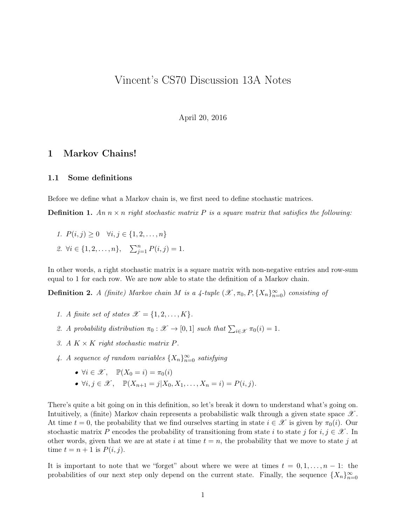## Vincent's CS70 Discussion 13A Notes

April 20, 2016

## 1 Markov Chains!

## 1.1 Some definitions

Before we define what a Markov chain is, we first need to define stochastic matrices.

**Definition 1.** An  $n \times n$  right stochastic matrix P is a square matrix that satisfies the following:

1.  $P(i, j) \geq 0 \quad \forall i, j \in \{1, 2, \ldots, n\}$ 2.  $\forall i \in \{1, 2, ..., n\}, \quad \sum_{j=1}^{n} P(i, j) = 1.$ 

In other words, a right stochastic matrix is a square matrix with non-negative entries and row-sum equal to 1 for each row. We are now able to state the definition of a Markov chain.

**Definition 2.** A (finite) Markov chain M is a 4-tuple  $(\mathscr{X}, \pi_0, P, \{X_n\}_{n=0}^{\infty})$  consisting of

- 1. A finite set of states  $\mathcal{X} = \{1, 2, \ldots, K\}.$
- 2. A probability distribution  $\pi_0 : \mathscr{X} \to [0,1]$  such that  $\sum_{i \in \mathscr{X}} \pi_0(i) = 1$ .
- 3. A  $K \times K$  right stochastic matrix P.
- 4. A sequence of random variables  $\{X_n\}_{n=0}^{\infty}$  satisfying
	- $\forall i \in \mathcal{X}, \quad \mathbb{P}(X_0 = i) = \pi_0(i)$
	- $\forall i, j \in \mathcal{X}$ ,  $\mathbb{P}(X_{n+1} = j | X_0, X_1, \dots, X_n = i) = P(i, j).$

There's quite a bit going on in this definition, so let's break it down to understand what's going on. Intuitively, a (finite) Markov chain represents a probabilistic walk through a given state space  $\mathscr X$ . At time  $t = 0$ , the probability that we find ourselves starting in state  $i \in \mathcal{X}$  is given by  $\pi_0(i)$ . Our stochastic matrix P encodes the probability of transitioning from state i to state j for  $i, j \in \mathcal{X}$ . In other words, given that we are at state i at time  $t = n$ , the probability that we move to state j at time  $t = n + 1$  is  $P(i, j)$ .

It is important to note that we "forget" about where we were at times  $t = 0, 1, \ldots, n - 1$ : the probabilities of our next step only depend on the current state. Finally, the sequence  $\{X_n\}_{n=0}^{\infty}$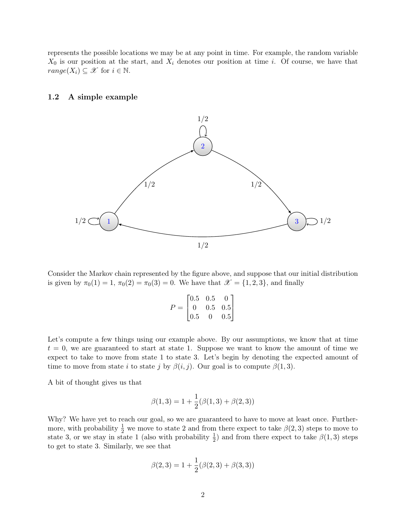represents the possible locations we may be at any point in time. For example, the random variable  $X_0$  is our position at the start, and  $X_i$  denotes our position at time i. Of course, we have that  $range(X_i) \subseteq \mathcal{X}$  for  $i \in \mathbb{N}$ .

## 1.2 A simple example



Consider the Markov chain represented by the figure above, and suppose that our initial distribution is given by  $\pi_0(1) = 1$ ,  $\pi_0(2) = \pi_0(3) = 0$ . We have that  $\mathscr{X} = \{1, 2, 3\}$ , and finally

$$
P = \begin{bmatrix} 0.5 & 0.5 & 0 \\ 0 & 0.5 & 0.5 \\ 0.5 & 0 & 0.5 \end{bmatrix}
$$

Let's compute a few things using our example above. By our assumptions, we know that at time  $t = 0$ , we are guaranteed to start at state 1. Suppose we want to know the amount of time we expect to take to move from state 1 to state 3. Let's begin by denoting the expected amount of time to move from state *i* to state *j* by  $\beta(i, j)$ . Our goal is to compute  $\beta(1, 3)$ .

A bit of thought gives us that

$$
\beta(1,3) = 1 + \frac{1}{2}(\beta(1,3) + \beta(2,3))
$$

Why? We have yet to reach our goal, so we are guaranteed to have to move at least once. Furthermore, with probability  $\frac{1}{2}$  we move to state 2 and from there expect to take  $\beta(2,3)$  steps to move to state 3, or we stay in state 1 (also with probability  $\frac{1}{2}$ ) and from there expect to take  $\beta(1,3)$  steps to get to state 3. Similarly, we see that

$$
\beta(2,3) = 1 + \frac{1}{2}(\beta(2,3) + \beta(3,3))
$$